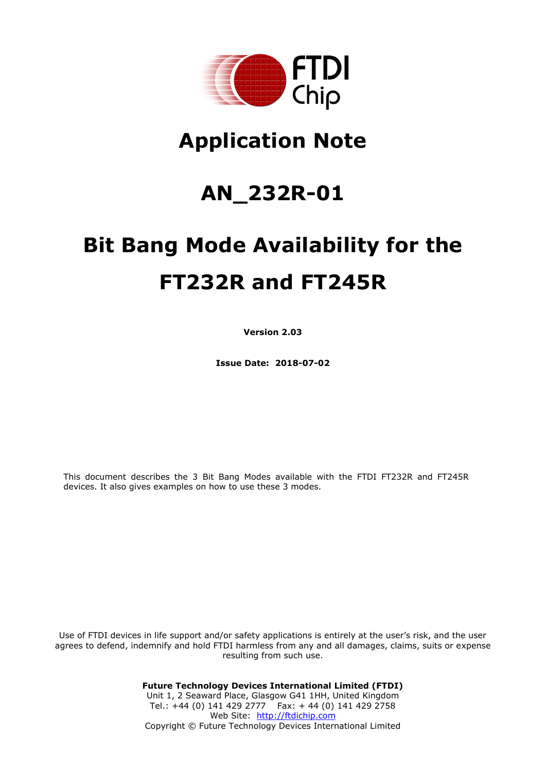

# **Application Note**

## **AN\_232R-01**

# **Bit Bang Mode Availability for the FT232R and FT245R**

**Version 2.03**

**Issue Date: 2018-07-02**

This document describes the 3 Bit Bang Modes available with the FTDI FT232R and FT245R devices. It also gives examples on how to use these 3 modes.

Use of FTDI devices in life support and/or safety applications is entirely at the user's risk, and the user agrees to defend, indemnify and hold FTDI harmless from any and all damages, claims, suits or expense resulting from such use.

> **Future Technology Devices International Limited (FTDI)** Unit 1, 2 Seaward Place, Glasgow G41 1HH, United Kingdom Tel.: +44 (0) 141 429 2777 Fax: + 44 (0) 141 429 2758 Web Site: [http://ftdichip.com](http://ftdichip.com/) Copyright © Future Technology Devices International Limited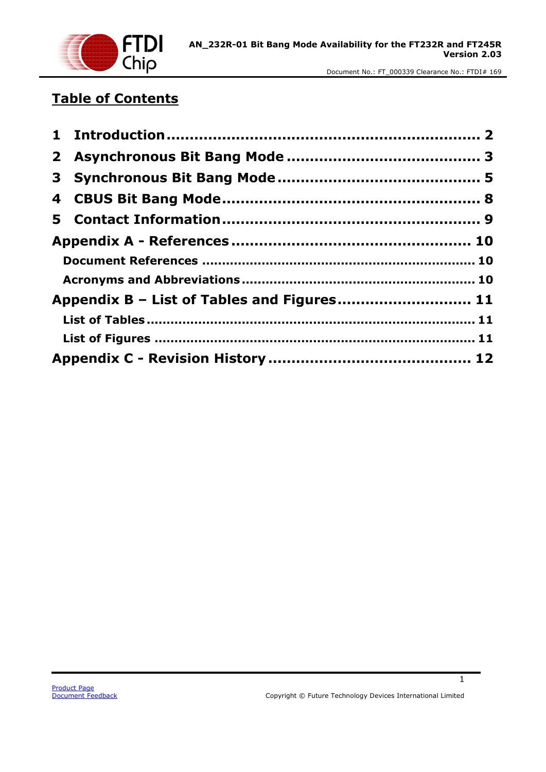

## **Table of Contents**

| Appendix B - List of Tables and Figures 11 |  |
|--------------------------------------------|--|
|                                            |  |
|                                            |  |
|                                            |  |

1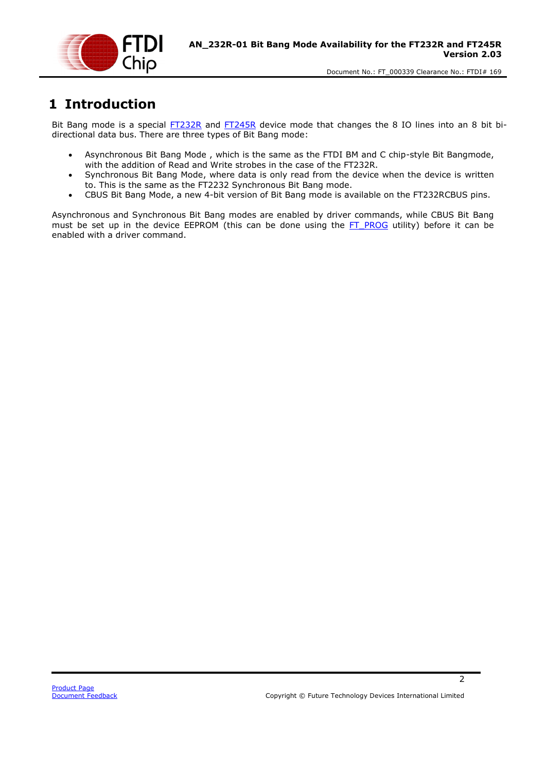

## <span id="page-2-0"></span>**1 Introduction**

Bit Bang mode is a special [FT232R](#page-10-0) and [FT245R](#page-10-0) device mode that changes the 8 IO lines into an 8 bit bidirectional data bus. There are three types of Bit Bang mode:

- Asynchronous Bit Bang Mode , which is the same as the FTDI BM and C chip-style Bit Bangmode, with the addition of Read and Write strobes in the case of the FT232R.
- Synchronous Bit Bang Mode, where data is only read from the device when the device is written to. This is the same as the FT2232 Synchronous Bit Bang mode.
- CBUS Bit Bang Mode, a new 4-bit version of Bit Bang mode is available on the FT232RCBUS pins.

Asynchronous and Synchronous Bit Bang modes are enabled by driver commands, while CBUS Bit Bang must be set up in the device EEPROM (this can be done using the  $FT$  PROG utility) before it can be enabled with a driver command.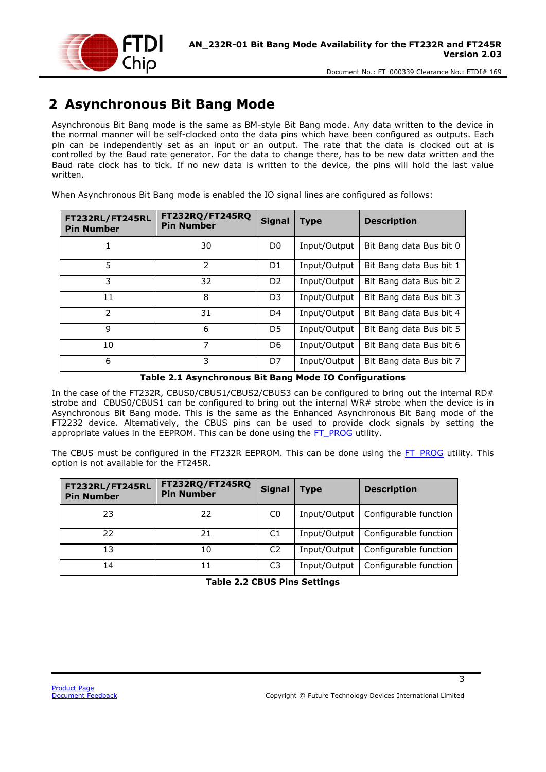

## <span id="page-3-0"></span>**2 Asynchronous Bit Bang Mode**

Asynchronous Bit Bang mode is the same as BM-style Bit Bang mode. Any data written to the device in the normal manner will be self-clocked onto the data pins which have been configured as outputs. Each pin can be independently set as an input or an output. The rate that the data is clocked out at is controlled by the Baud rate generator. For the data to change there, has to be new data written and the Baud rate clock has to tick. If no new data is written to the device, the pins will hold the last value written.

When Asynchronous Bit Bang mode is enabled the IO signal lines are configured as follows:

| <b>FT232RL/FT245RL</b><br><b>Pin Number</b> | <b>FT232RQ/FT245RQ</b><br><b>Pin Number</b> | <b>Signal</b>  | <b>Type</b>  | <b>Description</b>      |
|---------------------------------------------|---------------------------------------------|----------------|--------------|-------------------------|
|                                             | 30                                          | D <sub>0</sub> | Input/Output | Bit Bang data Bus bit 0 |
| 5                                           | $\mathcal{P}$                               | D <sub>1</sub> | Input/Output | Bit Bang data Bus bit 1 |
| 3                                           | 32                                          | D <sub>2</sub> | Input/Output | Bit Bang data Bus bit 2 |
| 11                                          | 8                                           | D <sub>3</sub> | Input/Output | Bit Bang data Bus bit 3 |
| $\mathcal{P}$                               | 31                                          | D4             | Input/Output | Bit Bang data Bus bit 4 |
| 9                                           | 6                                           | D5             | Input/Output | Bit Bang data Bus bit 5 |
| 10                                          | 7                                           | D <sub>6</sub> | Input/Output | Bit Bang data Bus bit 6 |
| 6                                           | 3                                           | D7             | Input/Output | Bit Bang data Bus bit 7 |

#### **Table 2.1 Asynchronous Bit Bang Mode IO Configurations**

<span id="page-3-1"></span>In the case of the FT232R, CBUS0/CBUS1/CBUS2/CBUS3 can be configured to bring out the internal RD# strobe and CBUS0/CBUS1 can be configured to bring out the internal WR# strobe when the device is in Asynchronous Bit Bang mode. This is the same as the Enhanced Asynchronous Bit Bang mode of the FT2232 device. Alternatively, the CBUS pins can be used to provide clock signals by setting the appropriate values in the EEPROM. This can be done using the [FT\\_PROG](#page-10-0) utility.

The CBUS must be configured in the FT232R EEPROM. This can be done using the [FT\\_PROG](#page-10-0) utility. This option is not available for the FT245R.

<span id="page-3-2"></span>

| FT232RL/FT245RL<br><b>Pin Number</b> | <b>FT232RQ/FT245RQ</b><br><b>Pin Number</b> | <b>Signal</b>  | <b>Type</b>  | <b>Description</b>                   |
|--------------------------------------|---------------------------------------------|----------------|--------------|--------------------------------------|
| 23                                   | 22                                          | C <sub>0</sub> |              | Input/Output   Configurable function |
| 22                                   | 21                                          | C1             | Input/Output | Configurable function                |
| 13                                   | 10                                          | C <sub>2</sub> | Input/Output | Configurable function                |
| 14                                   |                                             | C3             | Input/Output | Configurable function                |

#### **Table 2.2 CBUS Pins Settings**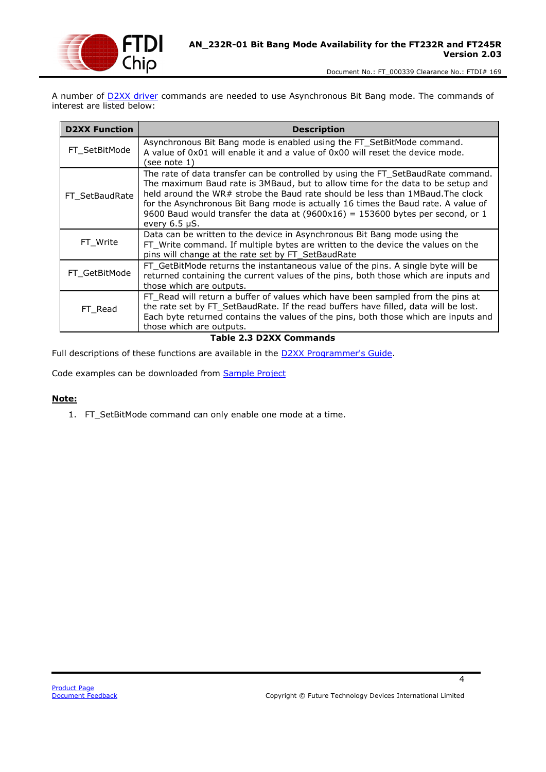

A number of **D2XX driver** commands are needed to use Asynchronous Bit Bang mode. The commands of interest are listed below:

| <b>D2XX Function</b> | <b>Description</b>                                                                                                                                                                                                                                                                                                                                                                                                                                    |
|----------------------|-------------------------------------------------------------------------------------------------------------------------------------------------------------------------------------------------------------------------------------------------------------------------------------------------------------------------------------------------------------------------------------------------------------------------------------------------------|
| FT SetBitMode        | Asynchronous Bit Bang mode is enabled using the FT_SetBitMode command.<br>A value of 0x01 will enable it and a value of 0x00 will reset the device mode.<br>(see note 1)                                                                                                                                                                                                                                                                              |
| FT SetBaudRate       | The rate of data transfer can be controlled by using the FT_SetBaudRate command.<br>The maximum Baud rate is 3MBaud, but to allow time for the data to be setup and<br>held around the WR# strobe the Baud rate should be less than 1MBaud. The clock<br>for the Asynchronous Bit Bang mode is actually 16 times the Baud rate. A value of<br>9600 Baud would transfer the data at $(9600x16) = 153600$ bytes per second, or 1<br>every $6.5 \mu S$ . |
| FT_Write             | Data can be written to the device in Asynchronous Bit Bang mode using the<br>FT_Write command. If multiple bytes are written to the device the values on the<br>pins will change at the rate set by FT_SetBaudRate                                                                                                                                                                                                                                    |
| FT GetBitMode        | FT_GetBitMode returns the instantaneous value of the pins. A single byte will be<br>returned containing the current values of the pins, both those which are inputs and<br>those which are outputs.                                                                                                                                                                                                                                                   |
| FT Read              | FT_Read will return a buffer of values which have been sampled from the pins at<br>the rate set by FT_SetBaudRate. If the read buffers have filled, data will be lost.<br>Each byte returned contains the values of the pins, both those which are inputs and<br>those which are outputs.                                                                                                                                                             |

**Table 2.3 D2XX Commands**

<span id="page-4-0"></span>Full descriptions of these functions are available in the **D2XX Programmer's Guide**.

Code examples can be downloaded from [Sample Project](http://www.ftdichip.com/Support/SoftwareExamples/CodeExamples.htm)

#### **Note:**

1. FT\_SetBitMode command can only enable one mode at a time.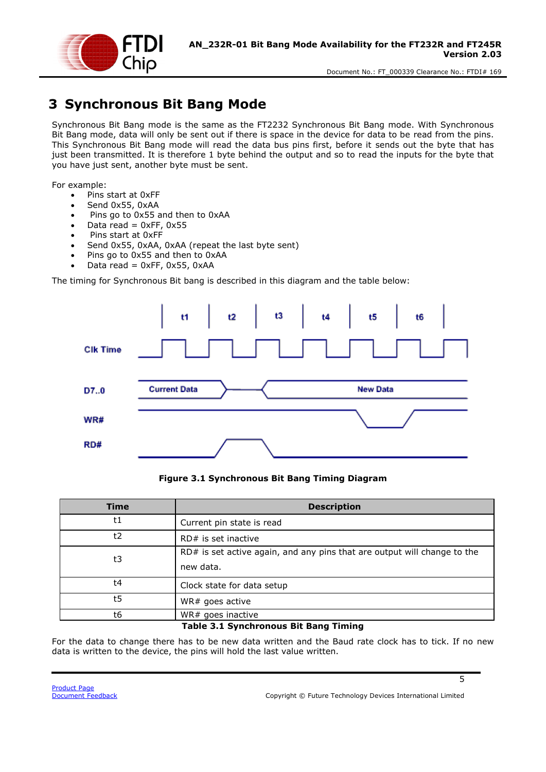

## <span id="page-5-0"></span>**3 Synchronous Bit Bang Mode**

Synchronous Bit Bang mode is the same as the FT2232 Synchronous Bit Bang mode. With Synchronous Bit Bang mode, data will only be sent out if there is space in the device for data to be read from the pins. This Synchronous Bit Bang mode will read the data bus pins first, before it sends out the byte that has just been transmitted. It is therefore 1 byte behind the output and so to read the inputs for the byte that you have just sent, another byte must be sent.

For example:

- Pins start at 0xFF
- Send 0x55, 0xAA
- Pins go to 0x55 and then to 0xAA
- $\bullet$  Data read = 0xFF, 0x55
- Pins start at 0xFF
- Send 0x55, 0xAA, 0xAA (repeat the last byte sent)
- Pins go to 0x55 and then to 0xAA
- Data read =  $0xFF$ ,  $0x55$ ,  $0xAA$

The timing for Synchronous Bit bang is described in this diagram and the table below:



#### **Figure 3.1 Synchronous Bit Bang Timing Diagram**

<span id="page-5-2"></span>

| <b>Description</b>                                                       |
|--------------------------------------------------------------------------|
| Current pin state is read                                                |
| $RD#$ is set inactive                                                    |
| RD# is set active again, and any pins that are output will change to the |
| new data.                                                                |
| Clock state for data setup                                               |
| WR# goes active                                                          |
| WR# goes inactive                                                        |
|                                                                          |

**Table 3.1 Synchronous Bit Bang Timing**

<span id="page-5-1"></span>For the data to change there has to be new data written and the Baud rate clock has to tick. If no new data is written to the device, the pins will hold the last value written.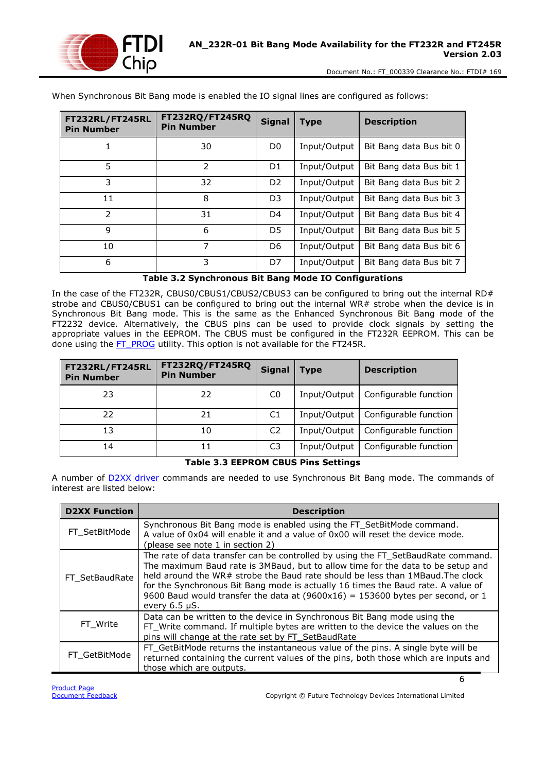

| FT232RL/FT245RL<br><b>Pin Number</b> | <b>FT232RQ/FT245RQ</b><br><b>Pin Number</b> | <b>Signal</b>  | <b>Type</b>  | <b>Description</b>      |
|--------------------------------------|---------------------------------------------|----------------|--------------|-------------------------|
|                                      | 30                                          | D <sub>0</sub> | Input/Output | Bit Bang data Bus bit 0 |
| 5                                    | 2                                           | D <sub>1</sub> | Input/Output | Bit Bang data Bus bit 1 |
| 3                                    | 32                                          | D <sub>2</sub> | Input/Output | Bit Bang data Bus bit 2 |
| 11                                   | 8                                           | D <sub>3</sub> | Input/Output | Bit Bang data Bus bit 3 |
| $\mathcal{P}$                        | 31                                          | D4             | Input/Output | Bit Bang data Bus bit 4 |
| 9                                    | 6                                           | D5             | Input/Output | Bit Bang data Bus bit 5 |
| 10                                   | 7                                           | D6             | Input/Output | Bit Bang data Bus bit 6 |
| 6                                    | 3                                           | D7             | Input/Output | Bit Bang data Bus bit 7 |

When Synchronous Bit Bang mode is enabled the IO signal lines are configured as follows:

#### **Table 3.2 Synchronous Bit Bang Mode IO Configurations**

<span id="page-6-0"></span>In the case of the FT232R, CBUS0/CBUS1/CBUS2/CBUS3 can be configured to bring out the internal RD# strobe and CBUS0/CBUS1 can be configured to bring out the internal WR# strobe when the device is in Synchronous Bit Bang mode. This is the same as the Enhanced Synchronous Bit Bang mode of the FT2232 device. Alternatively, the CBUS pins can be used to provide clock signals by setting the appropriate values in the EEPROM. The CBUS must be configured in the FT232R EEPROM. This can be done using the [FT\\_PROG](#page-10-0) utility. This option is not available for the FT245R.

| FT232RL/FT245RL<br><b>Pin Number</b> | FT232RQ/FT245RQ<br><b>Pin Number</b> | <b>Signal</b>  | <b>Type</b>  | <b>Description</b>    |
|--------------------------------------|--------------------------------------|----------------|--------------|-----------------------|
| 23                                   | 22                                   | C <sub>0</sub> | Input/Output | Configurable function |
| 22                                   | 21                                   | C1             | Input/Output | Configurable function |
| 13                                   | 10                                   | C <sub>2</sub> | Input/Output | Configurable function |
| 14                                   | 11                                   | C <sub>3</sub> | Input/Output | Configurable function |

#### **Table 3.3 EEPROM CBUS Pins Settings**

<span id="page-6-1"></span>A number of **D2XX** driver commands are needed to use Synchronous Bit Bang mode. The commands of interest are listed below:

| <b>D2XX Function</b> | <b>Description</b>                                                                                                                                                                                                                                                                                                                                                                                                                                 |
|----------------------|----------------------------------------------------------------------------------------------------------------------------------------------------------------------------------------------------------------------------------------------------------------------------------------------------------------------------------------------------------------------------------------------------------------------------------------------------|
| FT SetBitMode        | Synchronous Bit Bang mode is enabled using the FT SetBitMode command.<br>A value of 0x04 will enable it and a value of 0x00 will reset the device mode.<br>(please see note 1 in section 2)                                                                                                                                                                                                                                                        |
| FT SetBaudRate       | The rate of data transfer can be controlled by using the FT_SetBaudRate command.<br>The maximum Baud rate is 3MBaud, but to allow time for the data to be setup and<br>held around the WR# strobe the Baud rate should be less than 1MBaud. The clock<br>for the Synchronous Bit Bang mode is actually 16 times the Baud rate. A value of<br>9600 Baud would transfer the data at (9600x16) = 153600 bytes per second, or 1<br>every $6.5 \mu S$ . |
| FT Write             | Data can be written to the device in Synchronous Bit Bang mode using the<br>FT_Write command. If multiple bytes are written to the device the values on the<br>pins will change at the rate set by FT_SetBaudRate                                                                                                                                                                                                                                  |
| FT GetBitMode        | FT_GetBitMode returns the instantaneous value of the pins. A single byte will be<br>returned containing the current values of the pins, both those which are inputs and<br>those which are outputs.                                                                                                                                                                                                                                                |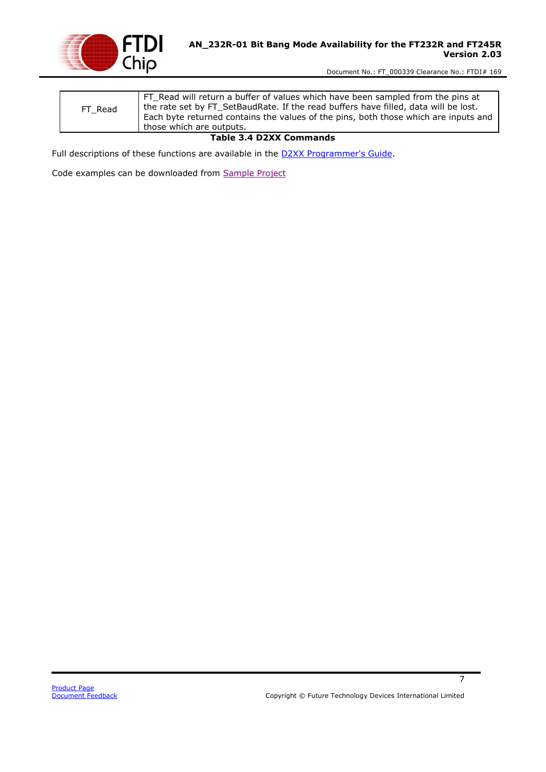

| FT Read | FT Read will return a buffer of values which have been sampled from the pins at<br>the rate set by FT_SetBaudRate. If the read buffers have filled, data will be lost.<br>Each byte returned contains the values of the pins, both those which are inputs and<br>those which are outputs. |
|---------|-------------------------------------------------------------------------------------------------------------------------------------------------------------------------------------------------------------------------------------------------------------------------------------------|
|         |                                                                                                                                                                                                                                                                                           |

#### **Table 3.4 D2XX Commands**

<span id="page-7-0"></span>Full descriptions of these functions are available in the **D2XX Programmer's Guide**.

Code examples can be downloaded from [Sample Project](http://www.ftdichip.com/Support/SoftwareExamples/CodeExamples.htm)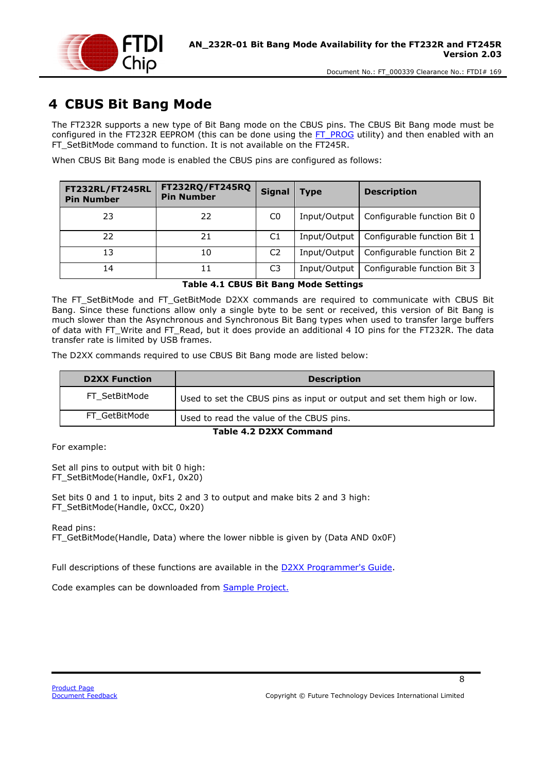

## <span id="page-8-0"></span>**4 CBUS Bit Bang Mode**

The FT232R supports a new type of Bit Bang mode on the CBUS pins. The CBUS Bit Bang mode must be configured in the FT232R EEPROM (this can be done using the [FT\\_PROG](#page-10-0) utility) and then enabled with an FT\_SetBitMode command to function. It is not available on the FT245R.

When CBUS Bit Bang mode is enabled the CBUS pins are configured as follows:

| FT232RL/FT245RL<br><b>Pin Number</b> | FT232RQ/FT245RQ<br><b>Pin Number</b> | <b>Signal</b>  | <b>Type</b>  | <b>Description</b>          |
|--------------------------------------|--------------------------------------|----------------|--------------|-----------------------------|
| 23                                   | 22                                   | C <sub>0</sub> | Input/Output | Configurable function Bit 0 |
| 22                                   | 21                                   | C1             | Input/Output | Configurable function Bit 1 |
| 13                                   | 10                                   | C <sub>2</sub> | Input/Output | Configurable function Bit 2 |
| 14                                   | 11                                   | C3             | Input/Output | Configurable function Bit 3 |

#### **Table 4.1 CBUS Bit Bang Mode Settings**

<span id="page-8-1"></span>The FT\_SetBitMode and FT\_GetBitMode D2XX commands are required to communicate with CBUS Bit Bang. Since these functions allow only a single byte to be sent or received, this version of Bit Bang is much slower than the Asynchronous and Synchronous Bit Bang types when used to transfer large buffers of data with FT\_Write and FT\_Read, but it does provide an additional 4 IO pins for the FT232R. The data transfer rate is limited by USB frames.

The D2XX commands required to use CBUS Bit Bang mode are listed below:

| <b>D2XX Function</b> | <b>Description</b>                                                     |
|----------------------|------------------------------------------------------------------------|
| FT SetBitMode        | Used to set the CBUS pins as input or output and set them high or low. |
| FT GetBitMode        | Used to read the value of the CBUS pins.                               |

#### **Table 4.2 D2XX Command**

<span id="page-8-2"></span>For example:

Set all pins to output with bit 0 high: FT\_SetBitMode(Handle, 0xF1, 0x20)

Set bits 0 and 1 to input, bits 2 and 3 to output and make bits 2 and 3 high: FT\_SetBitMode(Handle, 0xCC, 0x20)

Read pins:

FT\_GetBitMode(Handle, Data) where the lower nibble is given by (Data AND 0x0F)

Full descriptions of these functions are available in the [D2XX Programmer's Guide.](http://www.ftdichip.com/Support/Documents/ProgramGuides/D2XX_Programmer)

Code examples can be downloaded from [Sample Project.](http://www.ftdichip.com/Support/SoftwareExamples/CodeExamples.htm)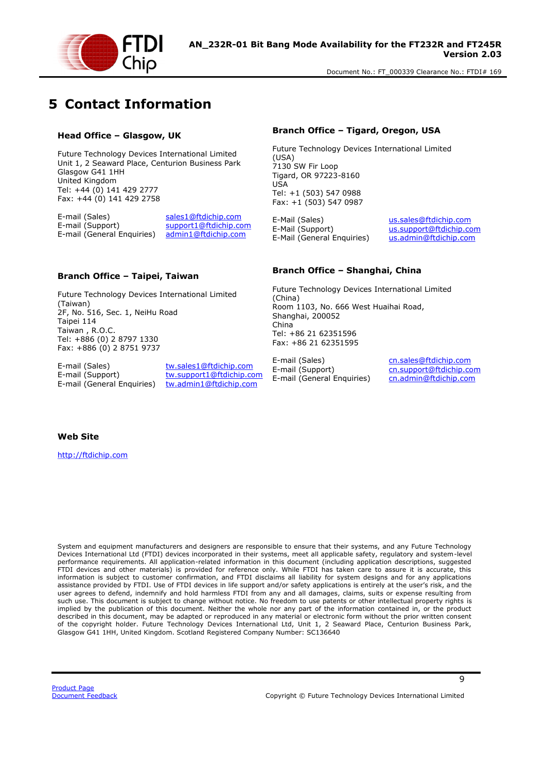

## <span id="page-9-0"></span>**5 Contact Information**

#### **Head Office – Glasgow, UK**

Future Technology Devices International Limited Unit 1, 2 Seaward Place, Centurion Business Park Glasgow G41 1HH United Kingdom Tel: +44 (0) 141 429 2777 Fax: +44 (0) 141 429 2758

E-mail (Sales) sales1@ftdichip.com<br>E-mail (Support) support1@ftdichip.com E-mail (General Enquiries)

support1@ftdichip.com<br>admin1@ftdichip.com

#### **Branch Office – Tigard, Oregon, USA**

Future Technology Devices International Limited (USA) 7130 SW Fir Loop Tigard, OR 97223-8160 USA Tel: +1 (503) 547 0988 Fax: +1 (503) 547 0987

E-Mail (Sales) <br>E-Mail (Support) us.support@ftdichip.com<br>us.support@ftdichip.co E-Mail (General Enquiries)

us.support@ftdichip.com<br>us.admin@ftdichip.com

#### **Branch Office – Taipei, Taiwan**

Future Technology Devices International Limited (Taiwan) 2F, No. 516, Sec. 1, NeiHu Road Taipei 114 Taiwan , R.O.C. Tel: +886 (0) 2 8797 1330 Fax: +886 (0) 2 8751 9737

E-mail (Sales) tw.sales1@ftdichip.com<br>
E-mail (Support) tw.support1@ftdichip.com E-mail (General Enquiries) tw.admin1@ftdichip.com

tw.support1@ftdichip.com

#### **Branch Office – Shanghai, China**

Future Technology Devices International Limited (China) Room 1103, No. 666 West Huaihai Road, Shanghai, 200052 China Tel: +86 21 62351596 Fax: +86 21 62351595

E-mail (Sales) cn.sales@ftdichip.com<br>
E-mail (Support) cn.support@ftdichip.com E-mail (General Enquiries)

cn.support@ftdichip.com<br>cn.admin@ftdichip.com

9

#### **Web Site**

http://ftdichip.com

System and equipment manufacturers and designers are responsible to ensure that their systems, and any Future Technology Devices International Ltd (FTDI) devices incorporated in their systems, meet all applicable safety, regulatory and system-level performance requirements. All application-related information in this document (including application descriptions, suggested FTDI devices and other materials) is provided for reference only. While FTDI has taken care to assure it is accurate, this information is subject to customer confirmation, and FTDI disclaims all liability for system designs and for any applications assistance provided by FTDI. Use of FTDI devices in life support and/or safety applications is entirely at the user's risk, and the user agrees to defend, indemnify and hold harmless FTDI from any and all damages, claims, suits or expense resulting from such use. This document is subject to change without notice. No freedom to use patents or other intellectual property rights is implied by the publication of this document. Neither the whole nor any part of the information contained in, or the product described in this document, may be adapted or reproduced in any material or electronic form without the prior written consent of the copyright holder. Future Technology Devices International Ltd, Unit 1, 2 Seaward Place, Centurion Business Park, Glasgow G41 1HH, United Kingdom. Scotland Registered Company Number: SC136640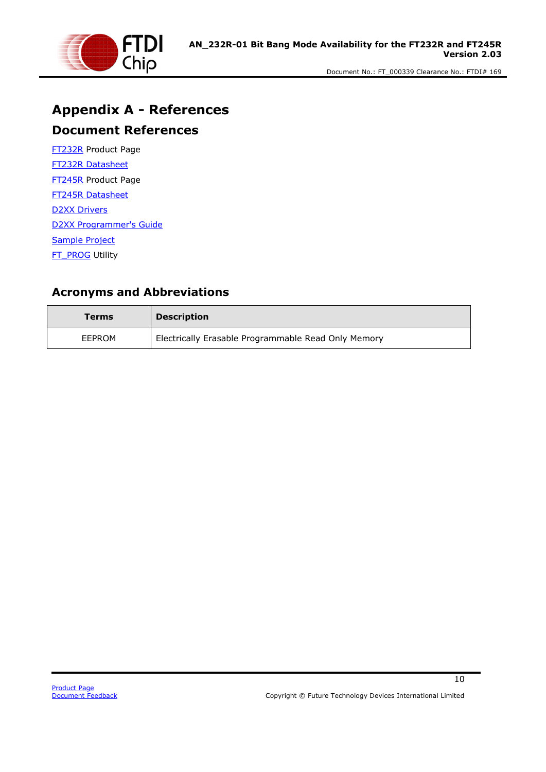

## <span id="page-10-0"></span>**Appendix A - References**

#### <span id="page-10-1"></span>**Document References**

[FT232R](http://www.ftdichip.com/Products/ICs/FT232R.htm) Product Page [FT232R Datasheet](http://www.ftdichip.com/Support/Documents/DataSheets/ICs/DS_FT232R.pdf) [FT245R](http://www.ftdichip.com/Products/ICs/FT245R.htm) Product Page [FT245R Datasheet](http://www.ftdichip.com/Support/Documents/DataSheets/ICs/DS_FT245R.pdf) [D2XX Drivers](http://www.ftdichip.com/Drivers/D2XX.htm) [D2XX Programmer's Guide](http://www.ftdichip.com/Support/Documents/ProgramGuides/D2XX_Programmer) [Sample Project](http://www.ftdichip.com/Support/SoftwareExamples/CodeExamples.htm) [FT\\_PROG](http://www.ftdichip.com/Support/Utilities.htm#FT_PROG) Utility

#### <span id="page-10-2"></span>**Acronyms and Abbreviations**

| Terms  | <b>Description</b>                                  |
|--------|-----------------------------------------------------|
| EEPROM | Electrically Erasable Programmable Read Only Memory |

 $\overline{10}$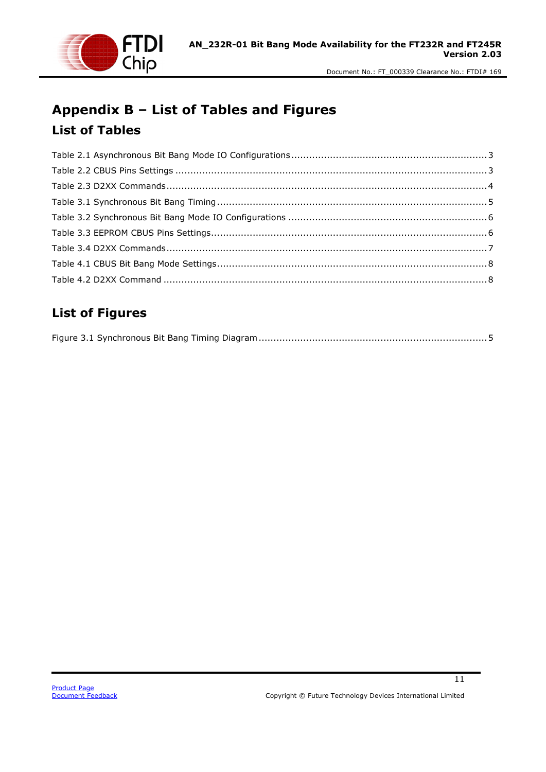

## <span id="page-11-1"></span><span id="page-11-0"></span>**Appendix B – List of Tables and Figures List of Tables**

### <span id="page-11-2"></span>**List of Figures**

11